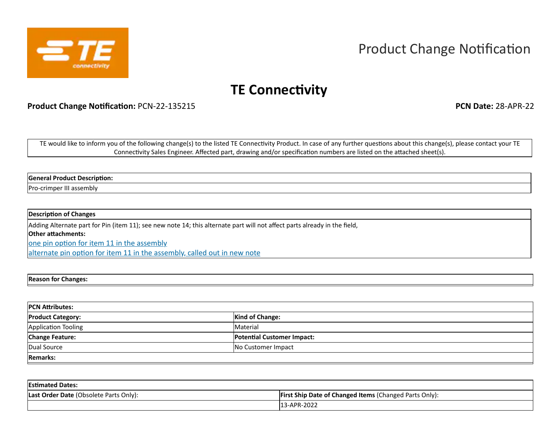

## Product Change Notification

## **TE Connectivity**

**Product Change Notification:** PCN-22-135215 **PCN Date:** 28-APR-22

TE would like to inform you of the following change(s) to the listed TE Connectivity Product. In case of any further questions about this change(s), please contact your TE Connectivity Sales Engineer. Affected part, drawing and/or specification numbers are listed on the attached sheet(s).

## **General Product Description:**

Pro-crimper III assembly

## **Description of Changes**

Adding Alternate part for Pin (item 11); see new note 14; this alternate part will not affect parts already in the field, **Other attachments:**  one pin option for item 11 in the assembly

alternate pin option for item 11 in the assembly, called out in new note

**Reason for Changes:**

| <b>PCN Attributes:</b>   |                                   |  |  |  |  |
|--------------------------|-----------------------------------|--|--|--|--|
| <b>Product Category:</b> | <b>Kind of Change:</b>            |  |  |  |  |
| Application Tooling      | Material                          |  |  |  |  |
| <b>Change Feature:</b>   | <b>Potential Customer Impact:</b> |  |  |  |  |
| Dual Source              | No Customer Impact                |  |  |  |  |
| <b>Remarks:</b>          |                                   |  |  |  |  |

| <b>Estimated Dates:</b>                |                                                               |
|----------------------------------------|---------------------------------------------------------------|
| Last Order Date (Obsolete Parts Only): | <b>First Ship Date of Changed Items (Changed Parts Only):</b> |
|                                        | 13-APR-2022                                                   |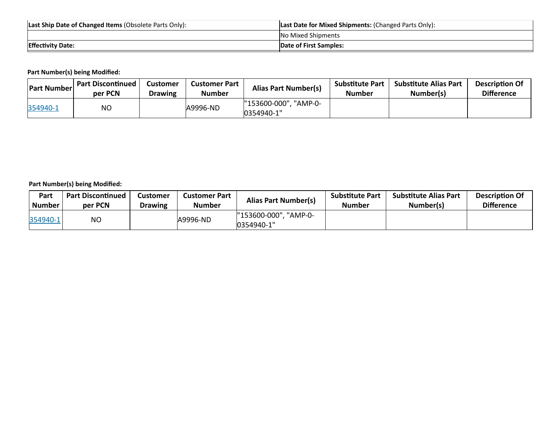| Last Ship Date of Changed Items (Obsolete Parts Only): | <b>Last Date for Mixed Shipments: (Changed Parts Only):</b> |
|--------------------------------------------------------|-------------------------------------------------------------|
|                                                        | No Mixed Shipments                                          |
| <b>Effectivity Date:</b>                               | <b>Date of First Samples:</b>                               |

**Part Number(s) being Modified:**

| <b>Part Number</b> | <b>Part Discontinued</b><br>per PCN | <b>Customer</b><br><b>Drawing</b> | Customer Part<br><b>Number</b> | <b>Alias Part Number(s)</b>         | <b>Substitute Part</b><br>Number | <b>Substitute Alias Part</b><br>Number(s) | <b>Description Of</b><br><b>Difference</b> |
|--------------------|-------------------------------------|-----------------------------------|--------------------------------|-------------------------------------|----------------------------------|-------------------------------------------|--------------------------------------------|
| 354940-1           | ΝO                                  |                                   | A9996-ND                       | "153600-000", "AMP-0-<br>0354940-1" |                                  |                                           |                                            |

**Part Number(s) being Modified:**

| Part     | <b>Part Discontinued</b> | <b>Customer</b> | <b>Customer Part</b> | <b>Alias Part Number(s)</b>            | <b>Substitute Part</b> | <b>Substitute Alias Part</b> | <b>Description Of</b> |
|----------|--------------------------|-----------------|----------------------|----------------------------------------|------------------------|------------------------------|-----------------------|
| Number   | per PCN                  | <b>Drawing</b>  | <b>Number</b>        |                                        | Number                 | Number(s)                    | <b>Difference</b>     |
| 354940-1 | NO                       |                 | A9996-ND             | "153600-000",<br>"AMP-0-<br>0354940-1" |                        |                              |                       |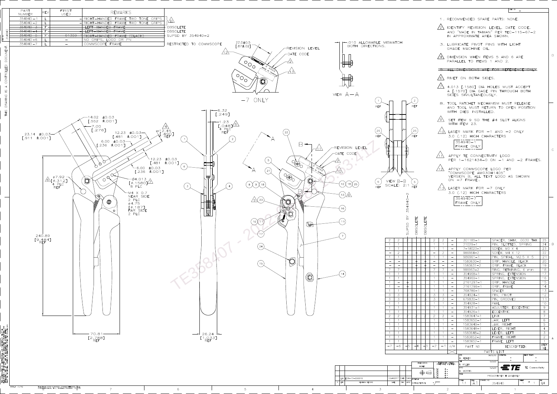



THIS INFORMATION IS CONFIDENTIAL AND PROPRIETARY TO TYCO<br>ELECTRONICS CORPORATION AND ITS WORLDWIDE SUBSIDIARIES AND<br>AFFILIATES (TE) IT MAY NOT BE DISCLOSED TO ANYONE, OTHER<br>THAN TE PERSONNEL, WITHOUT AUTHORIZATION FROM TE



 $5\overline{)}$ 

 $4$ 

 $3<sup>7</sup>$ 

6

|                                        |                                    |                                    |                                           |                                  | 1, RECOMMENDED SPARE PARTS: NONE.                                   |                        |                                        |             |                                                 |                 |                           |
|----------------------------------------|------------------------------------|------------------------------------|-------------------------------------------|----------------------------------|---------------------------------------------------------------------|------------------------|----------------------------------------|-------------|-------------------------------------------------|-----------------|---------------------------|
|                                        |                                    |                                    |                                           |                                  | IDENTIFY REVISION LEVEL, DATE CODE,                                 |                        |                                        |             |                                                 |                 |                           |
|                                        |                                    |                                    |                                           |                                  | AND "MADE IN TAIWAN" PER TEC-115-67-2<br>IN APPROXIMATE AREA SHOWN. |                        |                                        |             |                                                 |                 |                           |
|                                        |                                    |                                    |                                           |                                  |                                                                     |                        |                                        |             |                                                 |                 |                           |
|                                        |                                    |                                    |                                           |                                  | 3. LUBRICATE PIVOT PINS WITH LIGHT<br>GRADE MACHINE OIL.            |                        |                                        |             |                                                 |                 |                           |
|                                        |                                    |                                    |                                           |                                  |                                                                     |                        |                                        |             |                                                 |                 |                           |
|                                        |                                    |                                    |                                           |                                  | DIMENSION WHEN ITEMS 5 AND 6 ARE                                    |                        |                                        |             |                                                 |                 |                           |
|                                        |                                    |                                    |                                           |                                  | PARALLEL TO ITEMS 1 AND 2.                                          |                        |                                        |             |                                                 |                 |                           |
|                                        |                                    |                                    |                                           |                                  | <u>IJIMENSIONS ARE FOR</u>                                          |                        |                                        |             |                                                 |                 |                           |
|                                        |                                    |                                    |                                           |                                  | RIVET ON BOTH SIDES.                                                |                        |                                        |             |                                                 |                 |                           |
|                                        |                                    |                                    |                                           |                                  |                                                                     |                        |                                        |             |                                                 |                 |                           |
|                                        |                                    |                                    |                                           |                                  | 4.013 [.1580] DIA HOLES MUST ACCEPT                                 |                        |                                        |             |                                                 |                 |                           |
|                                        |                                    |                                    |                                           |                                  | A [.1570] DIA GAGE PIN THROUGH BOTH<br>SIDES SIMULTANEOUSLY.        |                        |                                        |             |                                                 |                 |                           |
|                                        |                                    |                                    |                                           |                                  |                                                                     |                        |                                        |             |                                                 |                 |                           |
|                                        |                                    |                                    |                                           |                                  | 8. TOOL RATCHET MECHANISM MUST RELEASE                              |                        |                                        |             |                                                 |                 |                           |
|                                        |                                    |                                    |                                           |                                  | AND TOOL MUST RETURN TO OPEN POSITION<br>WITH DIES INSTALLED        |                        |                                        |             |                                                 |                 |                           |
|                                        |                                    |                                    |                                           |                                  |                                                                     |                        |                                        |             |                                                 |                 |                           |
|                                        |                                    |                                    |                                           | WITH ITEM 23.                    | SET ITEM 9 SO THE #4 SLOT ALIGNS                                    |                        |                                        |             |                                                 |                 |                           |
|                                        |                                    |                                    |                                           |                                  |                                                                     |                        |                                        |             |                                                 |                 |                           |
|                                        |                                    |                                    |                                           |                                  | LASER MARK FOR $-1$ AND $-2$ ONLY                                   |                        |                                        |             |                                                 |                 |                           |
|                                        |                                    |                                    |                                           |                                  | 3.0 (.12) HIGH CHARACTERS                                           |                        |                                        |             |                                                 |                 |                           |
|                                        |                                    |                                    |                                           | $354940 - 1$<br>FRAME ONLY       |                                                                     |                        |                                        |             |                                                 |                 |                           |
|                                        |                                    |                                    |                                           |                                  |                                                                     |                        |                                        |             |                                                 |                 |                           |
|                                        |                                    |                                    |                                           |                                  | APPLY TE CONNECTIVITY LOGO                                          |                        |                                        |             |                                                 |                 |                           |
|                                        |                                    |                                    |                                           |                                  | PER 1-1621434-0 ON -1 AND -2 FRAMES.                                |                        |                                        |             |                                                 |                 |                           |
|                                        |                                    |                                    |                                           |                                  | APPLY COMMSCOPE LOGO PER                                            |                        |                                        |             |                                                 |                 |                           |
|                                        |                                    |                                    |                                           |                                  | "COMMSCOPE AM030H1405"<br>VERSION B, ALL TEXT LOGO AS SHOWN         |                        |                                        |             |                                                 |                 |                           |
|                                        |                                    |                                    |                                           | ON -7 FRAME                      |                                                                     |                        |                                        |             |                                                 |                 |                           |
|                                        |                                    |                                    |                                           |                                  |                                                                     |                        |                                        |             |                                                 |                 |                           |
|                                        |                                    |                                    |                                           |                                  |                                                                     |                        |                                        |             |                                                 |                 |                           |
|                                        |                                    |                                    |                                           |                                  |                                                                     | LASER MARK FOR -7 ONLY |                                        |             |                                                 |                 |                           |
|                                        |                                    |                                    |                                           |                                  | 3.0 (.12) HIGH CHARACTERS                                           |                        |                                        |             |                                                 |                 |                           |
|                                        |                                    |                                    |                                           | $354940 - 7$<br>FRAME ONLY       |                                                                     |                        |                                        |             |                                                 |                 |                           |
|                                        |                                    |                                    |                                           |                                  |                                                                     |                        |                                        |             |                                                 |                 |                           |
|                                        |                                    |                                    |                                           |                                  |                                                                     |                        |                                        |             |                                                 |                 |                           |
|                                        |                                    |                                    |                                           |                                  |                                                                     |                        |                                        |             |                                                 |                 |                           |
|                                        |                                    |                                    |                                           |                                  |                                                                     |                        |                                        |             |                                                 |                 |                           |
|                                        |                                    |                                    |                                           |                                  |                                                                     |                        |                                        |             |                                                 |                 |                           |
|                                        | $\overline{2}$                     | $\overline{2}$                     | $\overline{\phantom{0}}$                  |                                  | $301185 - 1$                                                        |                        |                                        |             |                                                 |                 | 25                        |
|                                        | $\left( \right)$                   | 1                                  | $\overline{\phantom{0}}$                  |                                  | $21029 - 1$                                                         |                        |                                        |             | SPACER, SHIM, .0030 THK<br>PIN, SLOTTED, SPRING |                 | 24                        |
|                                        | $\left( \right)$                   | $\left( \right)$                   |                                           |                                  | $7 - 18023 - 7$                                                     |                        | SCREW, M3 X 4                          |             |                                                 |                 | 23                        |
|                                        | $\left  \right $                   | $\overline{2}$<br>$\left  \right $ |                                           |                                  | $986964 - 2$<br>$986961 - 1$                                        |                        | SCREW, M4 X 12                         |             | PIN, SPIRAL, M2.5 X 5                           |                 | 22<br>21                  |
|                                        |                                    |                                    | $\overbrace{\phantom{12333}}$             |                                  | 1583630-2                                                           |                        | GRIP, HANDLE, BLACK                    |             |                                                 |                 | 20                        |
|                                        |                                    |                                    | $\overline{\phantom{0}}$                  |                                  | $1583631 - 2$                                                       |                        | GRIP, FRAME, BLACK                     |             |                                                 |                 | 19                        |
|                                        | $\overline{7}$<br>$\left  \right $ | $\overline{7}$<br>$\mathbf 1$      |                                           |                                  | $986963 - 2$<br>$354968 - 1$                                        |                        |                                        |             | RING, RETAINING, 6 mm                           |                 | 18<br>17                  |
|                                        |                                    | $\mathbf 1$                        | $\overline{\phantom{0}}$                  |                                  | $354969 - 1$                                                        |                        | SPRING, EXTENSION<br>SPRING, EXTENSION |             |                                                 |                 | 16                        |
|                                        | $\left( \right)$                   | 1                                  | $\overline{\phantom{0}}$                  |                                  | $2161297 - 1$                                                       |                        | GRIP, HANDLE                           |             |                                                 |                 | 15                        |
|                                        | $\left  \right $                   | $\mathbf 1$<br>$\left  \right $    |                                           |                                  | $2161296 - 1$<br>768786-1                                           |                        | GRIP, FRAME<br><b>SPACER</b>           |             |                                                 |                 | 14<br>13                  |
|                                        | $\overline{3}$                     | 3                                  | $\overline{\phantom{0}}$                  |                                  | $354924 - 1$                                                        |                        | PIN, PIVOT                             |             |                                                 |                 | 12                        |
|                                        | 3<br>$\left( \right)$              | 3<br>$\left  \right $              |                                           |                                  | 679830-1                                                            |                        | PIN, GROOVED                           |             |                                                 |                 | 11<br>10                  |
|                                        | $\left( \right)$                   | $\mathbf 1$                        |                                           |                                  | $354928 - 1$<br>$354931 - 1$                                        |                        | PAWL<br>ADJUSTER, ECCENTRIC            |             |                                                 |                 | $\Theta$                  |
|                                        | $\mathbf 1$                        | $\mathbf 1$                        |                                           |                                  | $354926 - 1$                                                        |                        | <b>ECCENTRIC</b>                       |             |                                                 |                 | 8                         |
|                                        | $\overline{2}$<br>$\left( \right)$ | $\overline{2}$<br>$\mathbf 1$      | $\overline{\phantom{0}}$                  |                                  | $1583647 - 1$<br>$1583650 - 1$                                      |                        | <b>LINK</b><br>JAW, LEFT               |             |                                                 |                 | $\overline{7}$<br>6       |
|                                        |                                    |                                    |                                           |                                  | $1583649 - 1$                                                       |                        | JAW, RIGHT                             |             |                                                 |                 | 5                         |
|                                        |                                    |                                    |                                           |                                  | 1583648-1                                                           |                        | LEVER, RIGHT                           |             |                                                 |                 | $\overline{4}$            |
|                                        |                                    |                                    |                                           |                                  | $1583648 - 2$<br>$1583652 - 2$                                      |                        | EVER, LEFT<br>FRAME, RIGHT             |             |                                                 |                 | 3<br>$\overline{2}$       |
|                                        |                                    |                                    |                                           |                                  | $1583652 - 1$                                                       |                        | FRAME, LEFT                            |             |                                                 |                 | 1                         |
|                                        | $-2$                               | $-1$                               | U/M                                       |                                  | PART NO                                                             |                        |                                        | DESCRIPTION |                                                 |                 | <b>ITEM</b><br>$N\square$ |
|                                        |                                    |                                    |                                           | <b>DWN</b>                       |                                                                     | PARTS LIST<br>04/02/93 | <b>MATERIAL</b>                        |             | HEAT TREAT                                      |                 |                           |
|                                        |                                    |                                    |                                           | W. FEIBER                        |                                                                     |                        |                                        |             |                                                 |                 |                           |
|                                        |                                    |                                    | TOLERANCES UNLESS<br>OTHERWISE SPECIFIED: | CHK<br>T. BOZEK                  |                                                                     | $5 - 3 - 93$           |                                        |             |                                                 |                 |                           |
| البنا<br>OBSOLET<br>3<br><b>SIONS:</b> | 0 PLC<br>1 PLC<br>2 PLC            | $\pm$ $-$<br>$\pm$ -<br>$± -$      |                                           | APVD<br>M. MORRIS<br><b>NAME</b> |                                                                     | $5 - 3 - 93$           |                                        | <i>=TE</i>  |                                                 | TE Connectivity |                           |